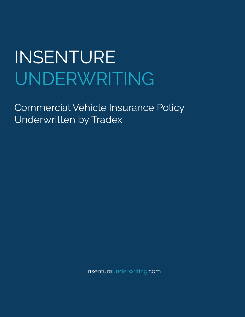Commercial Vehicle Insurance Policy Underwritten by Tradex

insentureunderwriting.com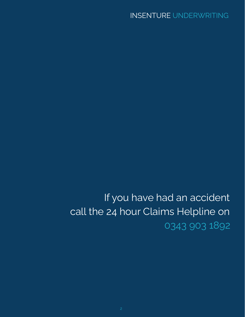If you have had an accident call the 24 hour Claims Helpline on 0343 903 1892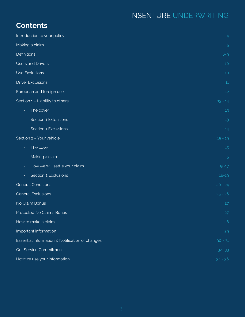# **Contents**

| Introduction to your policy                     | 4         |  |
|-------------------------------------------------|-----------|--|
| Making a claim                                  | 5         |  |
| <b>Definitions</b>                              | $6 - 9$   |  |
| <b>Users and Drivers</b>                        | 10        |  |
| Use Exclusions                                  | $10$      |  |
| <b>Driver Exclusions</b>                        | 11        |  |
| European and foreign use                        | 12        |  |
| Section 1 - Liability to others                 | $13 - 14$ |  |
| The cover                                       | 13        |  |
| Section 1 Extensions                            | 13        |  |
| Section 1 Exclusions                            | 14        |  |
| Section 2 - Your vehicle                        | $15 - 19$ |  |
| The cover                                       | 15        |  |
| Making a claim<br>۳.                            | 15        |  |
| How we will settle your claim<br>Ξ.             | $15 - 17$ |  |
| Section 2 Exclusions                            | $18 - 19$ |  |
| <b>General Conditions</b>                       | $20 - 24$ |  |
| <b>General Exclusions</b>                       | $25 - 26$ |  |
| No Claim Bonus                                  | 27        |  |
| Protected No Claims Bonus                       | 27        |  |
| How to make a claim                             | 28        |  |
| Important information                           | 29        |  |
| Essential Information & Notification of changes |           |  |
| Our Service Commitment                          |           |  |
| How we use your information                     | $34 - 36$ |  |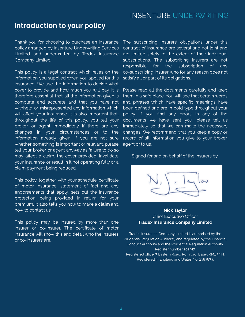# **Introduction to your policy**

Thank you for choosing to purchase an insurance policy arranged by Insenture Underwriting Services Limited and underwritten by Tradex Insurance Company Limited.

This policy is a legal contract which relies on the information you supplied when you applied for this insurance. We use the information to decide what cover to provide and how much you will pay. It is therefore essential that all the information given is complete and accurate and that you have not withheld or misrepresented any information which will affect your insurance. It is also important that, throughout the life of this policy, you tell your broker or agent immediately if there are any changes in your circumstances or to the information already given. If you are not sure whether something is important or relevant, please tell your broker or agent anyway as failure to do so may affect a claim, the cover provided, invalidate your insurance or result in it not operating fully or a claim payment being reduced.

This policy, together with your schedule, certificate of motor insurance, statement of fact and any endorsements that apply, sets out the insurance protection being provided in return for your premium. It also tells you how to make a **claim** and how to contact us.

This policy may be insured by more than one insurer or co-insurer. The certificate of motor insurance will show this and detail who the insurers or co-insurers are.

The subscribing insurers' obligations under this contract of insurance are several and not joint and are limited solely to the extent of their individual subscriptions. The subscribing insurers are not responsible for the subscription of any co-subscribing insurer who for any reason does not satisfy all or part of its obligations.

Please read all the documents carefully and keep them in a safe place. You will see that certain words and phrases which have specific meanings have been defined and are in bold type throughout your policy. If you find any errors in any of the documents we have sent you, please tell us immediately so that we can make the necessary changes. We recommend that you keep a copy or record of all information you give to your broker, agent or to us.

Signed for and on behalf of the Insurers by:



# **Nick Taylor** Chief Executive Officer **Tradex Insurance Company Limited**

Tradex Insurance Company Limited is authorised by the Prudential Regulation Authority and regulated by the Financial Conduct Authority and the Prudential Regulation Authority. Register number 202917. Registered office: 7 Eastern Road, Romford, Essex RM1 3NH. Registered in England and Wales No. 2983873.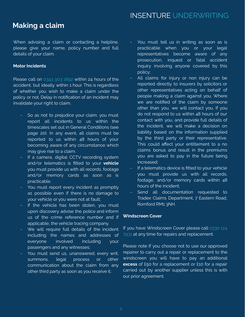# **Making a claim**

When advising a claim or contacting a helpline, please give your name, policy number and full details of your claim.

# **Motor Incidents**

Please call on 0343 903 1892 within 24 hours of the accident, but ideally within 1 hour. This is regardless of whether you wish to make a claim under the policy or not. Delay in notification of an incident may invalidate your right to claim.

- So as not to prejudice your claim, you must report all incidents to us within the timescales set out in General Conditions (see page 20). In any event, all claims must be reported to us within 48 hours of your becoming aware of any circumstance which may give rise to a claim.
- If a camera, digital CCTV recording system and/or telematics is fitted to your **vehicle** you must provide us with all records, footage and/or memory cards as soon as is practicable.
- You must report every incident as promptly as possible even if there is no damage to your vehicle or you were not at fault;
- If the vehicle has been stolen, you must upon discovery advise the police and inform us of the crime reference number and if applicable, the vehicle tracing company.
- We will require full details of the incident including the names and addresses of everyone involved including your passengers and any witnesses;
- You must send us, unanswered, every writ, summons, legal process or other communication about the claim from any other third party as soon as you receive it;
- You must tell us in writing as soon as is practicable when you or your legal representatives become aware of any prosecution, inquest or fatal accident inquiry involving anyone covered by this policy;
- All claims for injury or non injury can be reported directly to insurers by solicitors or other representatives acting on behalf of people making a claim against you. Where we are notified of the claim by someone other than you, we will contact you. If you do not respond to us within 48 hours of our contact with you, and provide full details of the incident, we will make a decision on liability based on the information supplied by the third party or their representative. This could affect your entitlement to a no claims bonus and result in the premiums you are asked to pay in the future being increased;
- If a telematics device is fitted to your vehicle you must provide us with all records, footage, and/or memory cards within 48 hours of the incident;
- Send all documentation requested to Tradex Claims Department, 7 Eastern Road, Romford RM1 3NH.

# **Windscreen Cover**

If you have Windscreen Cover please call 0330 124 7931 at any time for repairs and replacement.

Please note If you choose not to use our approved repairer to carry out a repair or replacement to the windscreen you will have to pay an additional **excess** of £50 for a replacement or £10 for a repair carried out by another supplier unless this is with our prior agreement.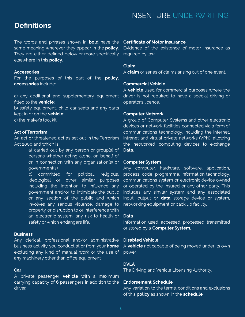# **Definitions**

The words and phrases shown in **bold** have the same meaning wherever they appear in the **policy**. They are either defined below or more specifically elsewhere in this **policy**.

### **Accessories**

For the purposes of this part of the **policy**, **accessories** include:

a) any additional and supplementary equipment fitted to the **vehicle**;

b) safety equipment, child car seats and any parts kept in or on the **vehicle;**

c) the maker's tool kit.

# **Act of Terrorism**

An act or threatened act as set out in the Terrorism Act 2000 and which is:

> a) carried out by any person or group(s) of persons whether acting alone, on behalf of or in connection with any organisation(s) or government(s)

> b) committed for political, religious, ideological or other similar purposes including the intention to influence any government and/or to intimidate the public or any section of the public and which involves any serious violence, damage to property or disruption to or interference with an electronic system, any risk to health or safety or which endangers life.

### **Business**

Any clerical, professional and/or administrative business activity you conduct at or from your **home** excluding any kind of manual work or the use of any machinery other than office equipment.

### **Car**

A private passenger **vehicle** with a maximum carrying capacity of 6 passengers in addition to the driver.

### **Certificate of Motor Insurance**

Evidence of the existence of motor insurance as required by law.

#### **Claim**

A **claim** or series of claims arising out of one event.

### **Commercial Vehicle**

A **vehicle** used for commercial purposes where the driver is not required to have a special driving or operator's licence.

#### **Computer Network**

A group of Computer Systems and other electronic devices or network facilities connected via a form of communications technology, including the internet, intranet and virtual private networks (VPN), allowing the networked computing devices to exchange **Data**.

### **Computer System**

Any computer, hardware, software, application, process, code, programme, information technology, communications system or electronic device owned or operated by the Insured or any other party. This includes any similar system and any associated input, output or **data** storage device or system, networking equipment or back up facility.

#### **Data**

Information used, accessed, processed, transmitted or stored by a **Computer System.**

# **Disabled Vehicle**

A **vehicle** not capable of being moved under its own power.

# **DVLA**

The Driving and Vehicle Licensing Authority.

### **Endorsement Schedule**

Any variation to the terms, conditions and exclusions of this **policy** as shown in the **schedule**.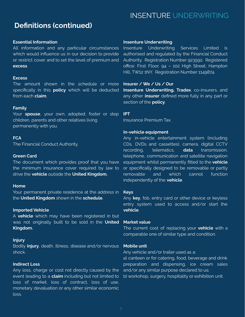# **Definitions (continued)**

# **Essential Information**

All information and any particular circumstances which would influence us in our decision to provide or restrict cover and to set the level of premium and **excess**.

# **Excess**

The amount shown in the schedule or more specifically in this **policy** which will be deducted from each **claim**.

# **Family**

Your **spouse**, your own, adopted, foster or step children, parents and other relatives living permanently with you.

### **FCA**

The Financial Conduct Authority.

### **Green Card**

The document which provides proof that you have the minimum insurance cover required by law to drive the **vehicle** outside the **United Kingdom.**

### **Home**

Your permanent private residence at the address in the **United Kingdom** shown in the **schedule**.

### **Imported Vehicle**

A **vehicle** which may have been registered in but was not originally built to be sold in the **United Kingdom.**

### **Injury**

Bodily **injury**, death, illness, disease and/or nervous shock.

# **Indirect Loss**

Any loss, charge or cost not directly caused by the event leading to a **claim** including but not limited to loss of market, loss of contract, loss of use, monetary devaluation or any other similar economic loss.

# **Insenture Underwriting**

Insenture Underwriting Services Limited is authorised and regulated by the Financial Conduct Authority. Registration Number 923592. Registered office: First Floor, 94 – 102 High Street, Hampton Hill, TW12 1NY. Registration Number 1149874.

# **Insurer / We / Us / Our**

**Insenture Underwriting, Tradex**, co-insurers, and any other **insurer** defined more fully in any part or section of the **policy**.

# **IPT**

Insurance Premium Tax.

### **In-vehicle equipment**

Any in-vehicle entertainment system (including CDs, DVDs and cassettes), camera, digital CCTV recording, telematics, **data** transmission, telephone, communication and satellite navigation equipment whilst permanently fitted to the **vehicle** or specifically designed to be removable or partly removable and which cannot function independently of the **vehicle**.

#### **Keys**

Any **key**, fob, entry card or other device or keyless entry system used to access and/or start the **vehicle**.

#### **Market value**

The current cost of replacing your **vehicle** with a comparable one of similar type and condition.

### **Mobile unit**

Any vehicle and/or trailer used as a:

a) canteen or for catering, food, beverage and drink preparation and dispensing, ice cream sales and/or any similar purpose declared to us; b) workshop, surgery, hospitality or exhibition unit.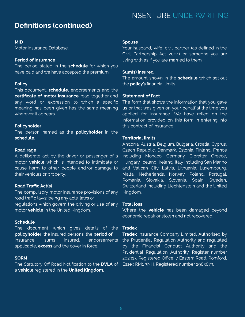# **Definitions (continued)**

### **MID**

Motor Insurance Database.

### **Period of insurance**

The period stated in the **schedule** for which you have paid and we have accepted the premium.

# **Policy**

This document, **schedule**, endorsements and the **certificate of motor insurance** read together and any word or expression to which a specific meaning has been given has the same meaning wherever it appears.

### **Policyholder**

The person named as the **policyholder** in the **schedule**.

### **Road rage**

A deliberate act by the driver or passenger of a motor **vehicle** which is intended to intimidate or cause harm to other people and/or damage to their vehicles or property.

# **Road Traffic Act(s)**

The compulsory motor insurance provisions of any road traffic laws; being any acts, laws or regulations which govern the driving or use of any motor **vehicle** in the United Kingdom.

### **Schedule**

The document which gives details of the **policyholder**, the insured persons, the **period of** insurance, sums insured, endorsements applicable, **excess** and the cover in force.

# **SORN**

The Statutory Off Road Notification to the **DVLA** of a **vehicle** registered in the **United Kingdom.**

# INSENTURE UNDERWRITING

### **Spouse**

Your husband, wife, civil partner (as defined in the Civil Partnership Act 2004) or someone you are living with as if you are married to them.

# **Sum(s) insured**

The amount shown in the **schedule** which set out the **policy's** financial limits.

### **Statement of Fact**

The form that shows the information that you gave us or that was given on your behalf at the time you applied for insurance. We have relied on the information provided on this form in entering into this contract of insurance.

### **Territorial limits**

Andorra, Austria, Belgium, Bulgaria, Croatia, Cyprus, Czech Republic, Denmark, Estonia, Finland, France including Monaco, Germany, Gibraltar, Greece, Hungary, Iceland, Ireland, Italy including San Marino and Vatican City, Latvia, Lithuania, Luxembourg, Malta, Netherlands, Norway, Poland, Portugal, Romania, Slovakia, Slovenia, Spain, Sweden, Switzerland including Liechtenstein and the United Kingdom.

### **Total loss**

Where the **vehicle** has been damaged beyond economic repair or stolen and not recovered.

# **Tradex**

**Tradex** Insurance Company Limited. Authorised by the Prudential Regulation Authority and regulated by the Financial Conduct Authority and the Prudential Regulation Authority. Register number 202917. Registered Office, 7 Eastern Road, Romford, Essex RM1 3NH. Registered number 2983873.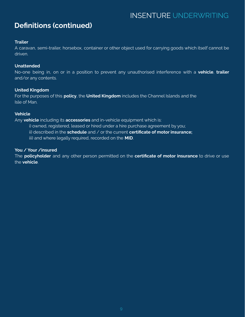# **Definitions (continued)**

# **Trailer**

A caravan, semi-trailer, horsebox, container or other object used for carrying goods which itself cannot be driven.

# **Unattended**

No-one being in, on or in a position to prevent any unauthorised interference with a **vehicle**, **trailer** and/or any contents.

# **United Kingdom**

For the purposes of this **policy**, the **United Kingdom** includes the Channel Islands and the Isle of Man.

# **Vehicle**

Any **vehicle** including its **accessories** and in-vehicle equipment which is:

- i) owned, registered, leased or hired under a hire purchase agreement by you;
- ii) described in the **schedule** and / or the current **certificate of motor insurance;**
- iii) and where legally required, recorded on the **MID**.

# **You / Your /insured**

The **policyholder** and any other person permitted on the **certificate of motor insurance** to drive or use the **vehicle**.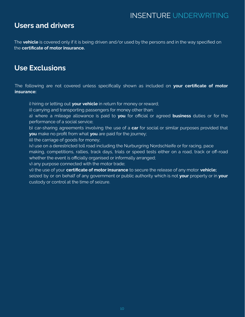# **Users and drivers**

The **vehicle** is covered only if it is being driven and/or used by the persons and in the way specified on the **certificate of motor insurance.**

# **Use Exclusions**

The following are not covered unless specifically shown as included on **your certificate of motor insurance:**

i) hiring or letting out **your vehicle** in return for money or reward;

ii) carrying and transporting passengers for money other than:

a) where a mileage allowance is paid to **you** for official or agreed **business** duties or for the performance of a social service;

b) car-sharing agreements involving the use of a **car** for social or similar purposes provided that **you** make no profit from what **you** are paid for the journey;

iii) the carriage of goods for money;

iv) use on a derestricted toll road including the Nurburgring Nordschleife or for racing, pace making, competitions, rallies, track days, trials or speed tests either on a road, track or off-road whether the event is officially organised or informally arranged;

v) any purpose connected with the motor trade;

vi) the use of your **certificate of motor insurance** to secure the release of any motor **vehicle;** seized by or on behalf of any government or public authority which is not **your** property or in **your** custody or control at the time of seizure.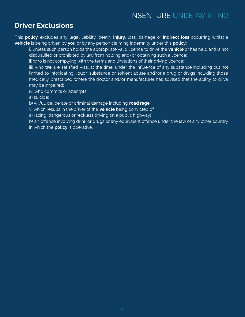# **Driver Exclusions**

This **policy** excludes any legal liability, death, **injury**, loss, damage or **indirect loss** occurring whilst a **vehicle** is being driven by **you** or by any person claiming indemnity under this **policy:**

i) unless such person holds the appropriate valid licence to drive the **vehicle** or has held and is not disqualified or prohibited by law from holding and/or obtaining such a licence;

ii) who is not complying with the terms and limitations of their driving licence;

iii) who **we** are satisfied was, at the time, under the influence of any substance including but not limited to intoxicating liquor, substance or solvent abuse and/or a drug or drugs including those medically prescribed where the doctor and/or manufacturer has advised that the ability to drive may be impaired;

iv) who commits or attempts:

a) suicide;

b) wilful, deliberate or criminal damage including **road rage.**

v) which results in the driver of the **vehicle** being convicted of:

a) racing, dangerous or reckless driving on a public highway;

b) an offence involving drink or drugs or any equivalent offence under the law of any other country in which the **policy** is operative.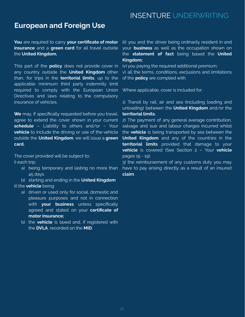# **European and Foreign Use**

**You** are required to carry **your certificate of motor insurance** and a **green card** for all travel outside the **United Kingdom.**

This part of the **policy** does not provide cover in any country outside the **United Kingdom** other than, for trips in the **territorial limits**, up to the applicable minimum third party indemnity limit required to comply with the European Union Directives and laws relating to the compulsory insurance of vehicles.

**We** may, if specifically requested before you travel, agree to extend the cover shown in your current **schedule** – Liability to others and/or – Your **vehicle** to include the driving or use of the vehicle outside the **United Kingdom**, we will issue a **green card.**

The cover provided will be subject to: i) each trip:

- a) being temporary and lasting no more than 45 days.
- b) starting and ending in the **United Kingdom**
- ii) the **vehicle** being:
	- a) driven or used only for social, domestic and pleasure purposes and not in connection with **your business** unless specifically agreed and stated on your **certificate of motor insurance;**
	- b) the **vehicle** is taxed and, if registered with the **DVLA**, recorded on the **MID**;

iii) you and the driver being ordinarily resident in and your **business** as well as the occupation shown on the **statement of fact** being based the **United Kingdom;**

iv) you paying the required additional premium;

v) all the terms, conditions, exclusions and limitations of the **policy** are complied with.

Where applicable, cover is included for:

1) Transit by rail, air and sea (including loading and unloading) between the **United Kingdom** and/or the **territorial limits.**

2) The payment of any general average contribution, salvage and sue and labour charges incurred whilst the **vehicle** is being transported by sea between the **United Kingdom** and any of the countries in the **territorial limits** provided that damage to your **vehicle** is covered (See Section 2 – Your **vehicle** pages 15 - 19).

3) the reimbursement of any customs duty you may have to pay arising directly as a result of an insured **claim**.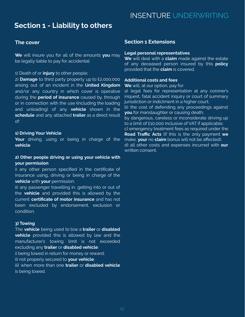# **Section 1 - Liability to others**

# **The cover**

**We** will insure you for all of the amounts **you** may be legally liable to pay for accidental:

#### 1) Death of or **injury** to other people;

2) **Damage** to third party property up to £2,000,000 arising out of an incident in the **United Kingdom** and/or any country in which cover is operative during the **period of insurance** caused by, through or in connection with the use (including the loading and unloading) of any **vehicle** shown in the **schedule** and any attached **trailer** as a direct result of:

### **1) Driving Your Vehicle**

**Your** driving, using or being in charge of the **vehicle**.

# **2) Other people driving or using your vehicle with your permission**

i) any other person specified in the certificate of insurance using, driving or being in charge of the **vehicle** with **your** permission;

ii) any passenger travelling in, getting into or out of the **vehicle** and provided this is allowed by the current **certificate of motor insurance** and has not been excluded by endorsement, exclusion or condition.

### **3) Towing**

The **vehicle** being used to tow a **trailer** or **disabled vehicle** provided this is allowed by law and the manufacturer's towing limit is not exceeded excluding any **trailer** or **disabled vehicle**: i) being towed in return for money or reward; ii) not properly secured to **your vehicle**; iii) when more than one **trailer** or **disabled vehicle** is being towed.

# INSENTURE UNDERWRITING

# **Section 1 Extensions**

### **Legal personal representatives**

**We** will deal with a **claim** made against the estate of any deceased person insured by this **policy** provided that the **claim** is covered.

# **Additional costs and fees**

**We** will, at our option, pay for:

a) legal fees for representation at any coroner's inquest, fatal accident inquiry or court of summary jurisdiction or indictment in a higher court; b) the cost of defending any proceedings against **you** for manslaughter or causing death; by dangerous, careless or inconsiderate driving up to a limit of £10,000 inclusive of VAT if applicable; c) emergency treatment fees as required under the **Road Traffic Acts** (if this is the only payment **we** make, **your** no **claim** bonus will not be affected);

d) all other costs and expenses incurred with **our** written consent.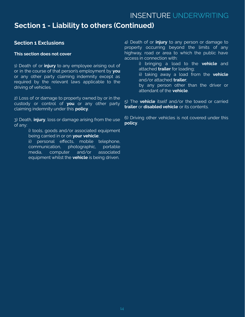# **Section 1 - Liability to others (Continued)**

# **Section 1 Exclusions**

# **This section does not cover**

1) Death of or **injury** to any employee arising out of or in the course of that person's employment by **you** or any other party claiming indemnity except as required by the relevant laws applicable to the driving of vehicles.

2) Loss of or damage to property owned by or in the custody or control of **you** or any other party claiming indemnity under this **policy**.

3) Death, **injury**, loss or damage arising from the use of any:

> i) tools, goods and/or associated equipment being carried in or on **your vehicle**;

ii) personal effects, mobile telephone, communication, photographic, portable media, computer and/or associated equipment whilst the **vehicle** is being driven.

4) Death of or **injury** to any person or damage to property occurring beyond the limits of any highway, road or area to which the public have access in connection with:

> i) bringing a load to the **vehicle** and attached **trailer** for loading;

ii) taking away a load from the **vehicle** and/or attached **trailer**;

by any person other than the driver or attendant of the **vehicle**.

5) The **vehicle** itself and/or the towed or carried **trailer** or **disabled vehicle** or its contents.

6) Driving other vehicles is not covered under this **policy**.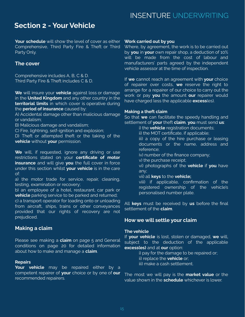# **Section 2 - Your Vehicle**

**Your schedule** will show the level of cover as either Comprehensive, Third Party Fire & Theft or Third Party Only.

# **The cover**

Comprehensive includes A, B, C & D. Third Party Fire & Theft includes C & D.

**We** will insure your **vehicle** against loss or damage in the **United Kingdom** and any other country in the **territorial limits** in which cover is operative during the **period of insurance** caused by:

A) Accidental damage other than malicious damage or vandalism;

B) Malicious damage and vandalism;

C) Fire, lightning, self-ignition and explosion;

D) Theft or attempted theft or the taking of the **vehicle** without **your** permission.

**We** will, if requested, ignore any driving or use restrictions stated on your **certificate of motor insurance** and will give **you** the full cover in force under this section whilst **your vehicle** is in the care of:

a) the motor trade for service, repair, cleaning, testing, examination or recovery;

b) an employee of a hotel, restaurant, car park or **vehicle** parking service to be parked and returned;

c) a transport operator for loading onto or unloading from aircraft, ships, trains or other conveyances provided that our rights of recovery are not prejudiced.

# **Making a claim**

Please see making a **claim** on page 5 and General conditions on page 20 for detailed information about how to make and manage a **claim**.

### **Repairs**

**Your vehicle** may be repaired either by a competent repairer of **your** choice or by one of **our** recommended repairers.

#### **Work carried out by you**

Where, by agreement, the work is to be carried out by **you** in **your** own repair shop, a deduction of 10% will be made from the cost of labour and manufacturers' parts agreed by the independent vehicle assessor at the time of inspection.

If **we** cannot reach an agreement with **your** choice of repairer over costs, **we** reserve the right to arrange for a repairer of our choice to carry out the work or pay **you** the amount **our** repairer would have charged less the applicable **excess**(es).

#### **Making a theft claim**

So that **we** can facilitate the speedy handling and settlement of **your** theft **claim**, **you** must send **us**:

i) the **vehicle** registration documents;

ii) the MOT certificate, if applicable;

iii) a copy of the hire purchase or leasing documents or the name, address and reference;

- iv) number of the finance company;
- v) the purchase receipt;
- vi) photographs of the **vehicle** if **you** have any;

# vii) all **keys** to the **vehicle;**

viii) if applicable, confirmation of the registered ownership of the vehicle's personalised number plate.

All **keys** must be received by **us** before the final settlement of the **claim**.

# **How we will settle your claim**

### **The vehicle**

If **your vehicle** is lost, stolen or damaged, **we** will, subject to the deduction of the applicable **excess(es)** and at **our** option:

> i) pay for the damage to be repaired or; ii) replace the **vehicle** or;

iii) make a cash settlement.

The most we will pay is the **market value** or the value shown in the **schedule** whichever is lower.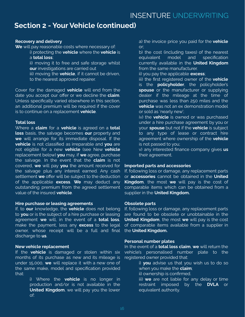# **Section 2 - Your Vehicle (continued)**

# **Recovery and delivery**

**We** will pay reasonable costs where necessary of:

- i) protecting the **vehicle** where the **vehicle** is a **total loss**;
- ii) moving it to free and safe storage whilst **our** investigations are carried out
- iii) moving the **vehicle**, if it cannot be driven, to the nearest approved repairer.

Cover for the damaged **vehicle** will end from the date you accept our offer or we decline the **claim**. Unless specifically varied elsewhere in this section, an additional premium will be required if the cover is to continue on a replacement **vehicle**.

# **Total loss**

Where a **claim** for a **vehicle** is agreed on a **total loss** basis, the salvage becomes **our** property and **we** will arrange for its immediate disposal. If the **vehicle** is not classified as irreparable and **you** are not eligible for a new **vehicle** (see New **vehicle** replacement below) **you** may, if **we** agree, purchase the salvage. In the event that the **claim** is not covered, **we** will pay **you** the amount received for the salvage plus any interest earned. Any cash settlement **we** offer will be subject to the deduction of the applicable **excess**. **We** may deduct any outstanding premium from the agreed settlement value of the insured **vehicle**.

# **Hire purchase or leasing agreements**

If, to **our** knowledge, the **vehicle** does not belong to **you** or is the subject of a hire purchase or leasing agreement **we** will, in the event of a **total loss**, make the payment, less any **excess** to the legal owner, whose receipt will be a full and final discharge to **us**.

# **New vehicle replacement**

If the **vehicle** is damaged or stolen within six months of its purchase as new and its mileage is under 15,000, **we** will replace it with a new one of the same make, model and specification provided that:

> i) Where the **vehicle** is no longer in production and/or is not available in the **United Kingdom**, we will pay you the lower of:

a) the invoice price you paid for the **vehicle** or;

- b) the cost (including taxes) of the nearest equivalent model and specification currently available in the **United Kingdom** from the same manufacturer.
- ii) you pay the applicable **excess**;
- iii) the first registered owner of the **vehicle** is the **policyholder**, the policyholder's **spouse** or the manufacturer or supplying dealer if the mileage at the time of purchase was less than 250 miles and the **vehicle** was not an ex demonstration model or sold as 'nearly new';
- iv) the **vehicle** is owned or was purchased under a hire purchase agreement by you or your **spouse** but not if the **vehicle** is subject to any type of lease or contract hire agreement where ownership of the **vehicle** is not passed to you;
- v) any interested finance company gives **us** their agreement.

# **Imported parts and accessories**

If, following loss or damage, any replacement parts or **accessories** cannot be obtained in the **United Kingdom**, the most **we** will pay is the cost of comparable items which can be obtained from a supplier in the **United Kingdom.**

# **Obsolete parts**

If, following loss or damage, any replacement parts are found to be obsolete or unobtainable in the **United Kingdom**, the most **we** will pay is the cost of comparable items available from a supplier in the **United Kingdom.**

# **Personal number plates**

In the event of a **total loss claim**, **we** will return the vehicle's personalised number plate to the registered owner provided that:

- i) **you** advise us that you wish us to do so when you make the **claim**;
- ii) ownership is confirmed.
- iii) **we** are not liable for any delay or time restraint imposed by the **DVLA** or equivalent authority.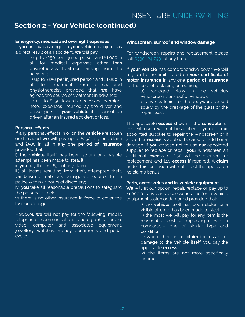# **Section 2 - Your Vehicle (continued)**

# **Emergency, medical and overnight expenses**

If **you** or any passenger in **your vehicle** is injured as a direct result of an accident, **we** will pay:

i) up to £250 per injured person and £1,000 in all for medical expenses other than physiotherapy treatment arising from the accident;

ii) up to £250 per injured person and £1,000 in all for treatment from a chartered physiotherapist provided that **we** have agreed the course of treatment in advance;

iii) up to £250 towards necessary overnight hotel expenses incurred by the driver and passengers in **your vehicle** if it cannot be driven after an insured accident or loss.

# **Personal effects**

If any personal effects in or on the **vehicle** are stolen or damaged **we** will pay up to £250 any one claim and £500 in all in any one **period of insurance** provided that:

i) the **vehicle** itself has been stolen or a visible attempt has been made to steal it;

ii) **you** pay the first £50 of any claim;

iii) all losses resulting from theft, attempted theft, vandalism or malicious damage are reported to the police within 24 hours of discovery;

iv) **you** take all reasonable precautions to safeguard the personal effects;

v) there is no other insurance in force to cover the loss or damage.

However, **we** will not pay for the following; mobile telephone, communication, photographic, audio, video, computer and associated equipment, jewellery, watches, money, documents and pedal cycles.

# **Windscreen, sunroof and window damage**

For windscreen repairs and replacement please call 0330 124 7931 at any time.

If **your vehicle** has comprehensive cover **we** will pay up to the limit stated on **your certificate of motor insurance** in any one **period of insurance** for the cost of replacing or repairing;

a) damaged glass in the vehicle's windscreen, sun-roof or windows;

b) any scratching of the bodywork caused solely by the breakage of the glass or the repair itself.

The applicable **excess** shown in the **schedule** for this extension will not be applied if **you** use **our** appointed supplier to repair the windscreen or if any other **excess** is applied because of additional damage. If **you** choose not to use **our** appointed supplier to replace or repair **your** windscreen an additional **excess** of £50 will be charged for replacement and £10 **excess** if repaired. A **claim** under this extension will not affect the applicable no claims bonus.

# **Parts, accessories and in-vehicle equipment**

**We** will, at our option, repair, replace or pay up to £1,000 for any parts, accessories and/or in-vehicle equipment stolen or damaged provided that:

i) the **vehicle** itself has been stolen or a visible attempt has been made to steal it; ii) the most we will pay for any item is the reasonable cost of replacing it with a comparable one of similar type and condition;

iii) where there is no **claim** for loss of or damage to the vehicle itself, you pay the applicable **excess**;

iv) the items are not more specifically insured.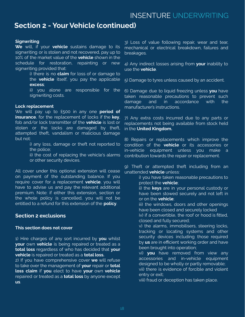# **Section 2 - Your Vehicle (continued)**

### **Signwriting**

**We** will, if your **vehicle** sustains damage to its signwriting or is stolen and not recovered, pay up to 10% of the market value of the **vehicle** shown in the schedule for restoration, repainting or new signwriting provided that:

> i) there is no **claim** for loss of or damage to the **vehicle** itself, you pay the applicable **excess**;

> ii) you alone are responsible for the signwriting costs.

### **Lock replacement**

We will pay up to £500 in any one **period of insurance**, for the replacement of locks if the **key**, fob and/or lock transmitter of the **vehicle** is lost or stolen or the locks are damaged by theft, attempted theft, vandalism or malicious damage but not:

> i) any loss, damage or theft not reported to the police;

> ii) the cost of replacing the vehicle's alarms or other security devices.

All cover under this optional extension will cease on payment of the outstanding balance. If you require cover for a replacement **vehicle**, you will have to advise us and pay the relevant additional premium. Note: if either this extension, section or the whole policy is cancelled, you will not be entitled to a refund for this extension of the **policy**.

# **Section 2 exclusions**

### **This section does not cover**

1) Hire charges of any sort incurred by **you** whilst **your** own **vehicle** is being repaired or treated as a **total loss** regardless of who has decided that **your vehicle** is repaired or treated as a **total loss.**

2) If you have comprehensive cover **we** will refuse to take over the management of **your** repair or **total loss claim** if **you** elect to have **your** own **vehicle** repaired or treated as a **total loss** by anyone except **us**.

3) Loss of value following repair, wear and tear, mechanical or electrical breakdown, failures and breakages.

4) Any indirect losses arising from **your** inability to use the **vehicle**.

5) Damage to tyres unless caused by an accident.

6) Damage due to liquid freezing unless **you** have taken reasonable precautions to prevent such damage and in accordance with the manufacturer's instructions.

7) Any extra costs incurred due to any parts or replacements not being available from stock held in the **United Kingdom.**

8) Repairs or replacements which improve the condition of the **vehicle** or its accessories or in-vehicle equipment unless you make a contribution towards the repair or replacement.

9) Theft or attempted theft including from an unattended **vehicle** unless:

> i) you have taken reasonable precautions to protect the **vehicle**;

> ii) the **keys** are in your personal custody or have been stowed securely and not left in or on the **vehicle**;

> iii) the windows, doors and other openings have been closed and securely locked

> iv) if a convertible, the roof or hood is fitted, closed and fully secured;

> v) the alarms, immobilisers, steering locks, tracking or locating systems and other security devices including those required by **us** are in efficient working order and have been brought into operation;

> vi) **you** have removed from view any accessories and in-vehicle equipment designed to be wholly or partly removable; vii) there is evidence of forcible and violent entry or exit;

viii) fraud or deception has taken place.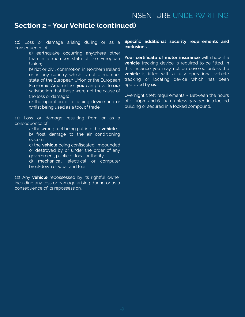# **Section 2 - Your Vehicle (continued)**

10) Loss or damage arising during or as a consequence of:

> a) earthquake occurring anywhere other than in a member state of the European Union;

> b) riot or civil commotion in Northern Ireland or in any country which is not a member state of the European Union or the European Economic Area unless **you** can prove to **our** satisfaction that these were not the cause of the loss or damage;

> c) the operation of a tipping device and or whilst being used as a tool of trade.

11) Loss or damage resulting from or as a consequence of:

a) the wrong fuel being put into the **vehicle**;

b) frost damage to the air conditioning system;

c) the **vehicle** being confiscated, impounded or destroyed by or under the order of any government, public or local authority;

d) mechanical, electrical or computer breakdown or wear and tear.

12) Any **vehicle** repossessed by its rightful owner including any loss or damage arising during or as a consequence of its repossession.

### **Specific additional security requirements and exclusions**

**Your certificate of motor insurance** will show if a **vehicle** tracking device is required to be fitted. In this instance you may not be covered unless the **vehicle** is fitted with a fully operational vehicle tracking or locating device which has been approved by **us**.

Overnight theft requirements - Between the hours of 11.00pm and 6.00am unless garaged in a locked building or secured in a locked compound.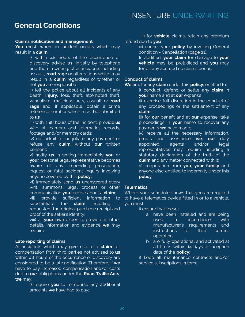# **General Conditions**

### **Claims notification and management**

**You** must, when an incident occurs which may result in a **claim**:

> i) within 48 hours of the occurrence or discovery advise **us**, initially by telephone and then in writing, of all incidents including assault, **road rage** or altercations which may result in a **claim** regardless of whether or not **you** are responsible;

> ii) tell the police about all incidents of any death, **injury**, loss, theft, attempted theft, vandalism, malicious acts, assault or **road rage** and, if applicable, obtain a crime reference number which must be submitted to **us**;

> iii) within 48 hours of the incident, provide **us** with all camera and telematics records, footage and/or memory cards;

> iv) not admit to, negotiate any payment or refuse any **claim** without **our** written consent;

> v) notify **us** in writing immediately **you** or **your** personal legal representative becomes aware of any impending prosecution, inquest or fatal accident inquiry involving anyone covered by this **policy;**

> vi) immediately send **us** unanswered every writ, summons, legal process or other communication **you** receive about a **claim;**

> vii) provide sufficient information to substantiate the **claim** including, if requested, the original purchase receipt and proof of the seller's identity;

viii) at **your** own expense, provide all other details, information and evidence **we** may require.

# **Late reporting of claims**

All incidents which may give rise to a **claim** for compensation from third parties not advised to **us** within 48 hours of the occurrence or discovery are considered to be a late notification. Therefore, if **we** have to pay increased compensation and/or costs due to **our** obligations under the **Road Traffic Acts**, **we** may:

> i) require **you** to reimburse any additional amounts **we** have had to pay;

ii) for **vehicle** claims, retain any premium refund due to **you**

> iii) cancel your **policy** by invoking General condition - Cancellation (page 21).

> In addition, **your claim** for damage to **your vehicle** may be prejudiced and **you** may forfeit any accrued no claims bonus.

# **Conduct of claims**

**We** are, for any **claim** under this **policy**, entitled to:

i) conduct, defend or settle any **claim** in **your** name and at **our** expense;

ii) exercise full discretion in the conduct of any proceedings or the settlement of any **claim;**

iii) for **our** benefit and at **our** expense, take proceedings in **your** name to recover any payments **we** have made;

iv) receive all the necessary information, proofs and assistance **we**, **our** duly appointed agents and/or legal representatives may require including a statutory declaration of the truth of the **claim** and any matter connected with it;

v) cooperation from **you**, **your family** and anyone else entitled to indemnity under this **policy**.

# **Telematics**

Where your schedule shows that you are required to have a telematics device fitted in or to a vehicle, you must;

i) ensure that these**;**

- a. have been installed and are being used in accordance with manufacturer's requirements and instructions for their correct operation;
- b. are fully operational and activated at all times within 14 days of inception date of the **policy**;

i) keep all maintenance contracts and/or service subscriptions in force.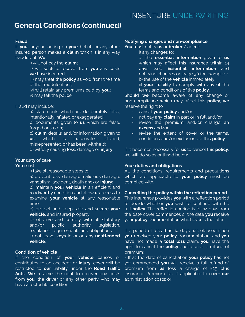# **General Conditions (continued)**

### **Fraud**

If **you**, anyone acting on **your** behalf or any other insured person makes a **claim** which is in any way fraudulent. **We**

i) will not pay the **claim;**

ii) will seek to recover from **you** any costs **we** have incurred;

iii) may treat the **policy** as void from the time of the fraudulent act;

iv) will retain any premiums paid by **you;** v) may tell the police.

### Fraud may include:

a) statements which are deliberately false, intentionally inflated or exaggerated;

b) documents given to **us** which are false, forged or stolen;

c) **claim** details and/or information given to **us** which is inaccurate, falsified, misrepresented or has been withheld; d) wilfully causing loss, damage or **injury**.

### **Your duty of care**

# **You** must:

i) take all reasonable steps to:

a) prevent loss, damage, malicious damage, vandalism, accident, death and/or **injury;**

b) maintain **your vehicle** in an efficient and roadworthy condition and allow **us** access to examine **your vehicle** at any reasonable time

c) protect and keep safe and secure **your vehicle**, and insured property;

d) observe and comply with all statutory and/or public authority legislation, regulation, requirements and obligations;

ii) not leave **keys** in or on any **unattended vehicle**.

# **Condition of vehicle**

If the condition of **your vehicle** causes or contributes to an accident or **injury**, cover will be restricted to **our** liability under the **Road Traffic Acts**. **We** reserve the right to recover any costs from **you**, the driver or any other party who may have affected its condition.

#### **Notifying changes and non-compliance**

**You** must notify **us** or **broker** / agent:

- i) any changes to:
- a) the **essential information** given to **us** which may affect this insurance within 14 days (see **Essential information** and notifying changes on page 30 for examples); b) the use of the **vehicle** immediately;
- ii) **your** inability to comply with any of the terms and conditions of this **policy**.

Should **we** become aware of any change or non-compliance which may affect this **policy**, **we** reserve the right to

- cancel **your policy** and/or;
- not pay any **claim** in part or in full and/or;
- revise the premium and/or change an **excess** and/or;
- revise the extent of cover or the terms, conditions and/or exclusions of this **policy**.

If it becomes necessary for **us** to cancel this **policy**, we will do so as outlined below.

#### **Your duties and obligations**

All the conditions, requirements and precautions which are applicable to **your policy** must be complied with.

#### **Cancelling the policy within the reflection period**

This insurance provides **you** with a reflection period to decide whether **you** wish to continue with the full **policy**. The reflection period is for 14 days from the date cover commences or the date **you** receive your **policy** documentation whichever is the later.

If a period of less than 14 days has elapsed since **you** received your **policy** documentation, and **you** have not made a **total loss** claim, **you** have the right to cancel the **policy** and receive a refund of premium:

- If at the date of cancellation **your policy** has not yet commenced **you** will receive a full refund of premium from **us** less a charge of £25 plus Insurance Premium Tax if applicable to cover **our** administration costs; or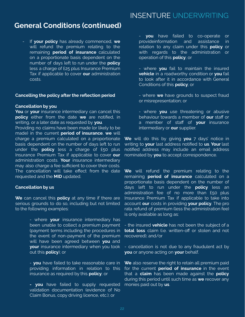# **General Conditions (continued)**

- If **your policy** has already commenced, **we** will refund the premium relating to the remaining **period of insurance** calculated on a proportionate basis dependent on the number of days left to run under the **policy** less a charge of £25 plus Insurance Premium Tax if applicable to cover **our** administration costs.

### **Cancelling the policy after the reflection period**

#### **Cancellation by you**

**You** or **your** insurance intermediary can cancel this **policy** either from the date **we** are notified, in writing, or a later date as requested by **you**.

Providing no claims have been made (or likely to be made) in the current **period of insurance**, **we** will charge a premium calculated on a proportionate basis dependent on the number of days left to run under the **policy** less a charge of £50 plus Insurance Premium Tax if applicable to cover **our** administration costs. **Your** insurance intermediary may also charge a fee sufficient to cover their costs. The cancellation will take effect from the date requested and the **MID** updated.

### **Cancellation by us**

**We** can cancel this **policy** at any time if there are serious grounds to do so, including but not limited to the following examples:

> - where **your** insurance intermediary has been unable to collect a premium payment (payment terms including the procedures in the event of non-payment of the premium will have been agreed between **you** and **your** insurance intermediary when you took out this **policy**); or

> - **you** have failed to take reasonable care in providing information in relation to this insurance as required by this **policy**; or

> **- you** have failed to supply requested validation documentation (evidence of No Claim Bonus, copy driving licence, etc.); or

- **you** have failed to co-operate or provideinformation and assistance in relation to any claim under this **policy** or with regards to the administration or operation of this **policy**; or

- where **you** fail to maintain the insured **vehicle** in a roadworthy condition or **you** fail to look after it in accordance with General Conditions of this **policy**; or

- where **we** have grounds to suspect fraud or misrepresentation; or

- where **you** use threatening or abusive behaviour towards a member of **our** staff or a member of staff of **your** insurance intermediary or **our** supplier.

**We** will do this by giving **you** 7 days' notice in writing to **your** last address notified to **us**. **Your** last notified address may include an email address nominated by **you** to accept correspondence.

**We** will refund the premium relating to the remaining **period of insurance** calculated on a proportionate basis dependent on the number of days left to run under the **policy** less an administration fee of no more than £50 plus Insurance Premium Tax if applicable to take into account **our** costs in providing **your policy**. The pro rata refund of premium (less the administration fee) is only available as long as:

- the insured **vehicle** has not been the subject of a **total loss** claim (i.e. written-off or stolen and not recovered); and/or

- cancellation is not due to any fraudulent act by **you** or anyone acting on **your** behalf.

**We** also reserve the right to retain all premium paid for the current **period of insurance** in the event that a **claim** has been made against the **policy** during this period until such time as **we** recover any monies paid out by **us**.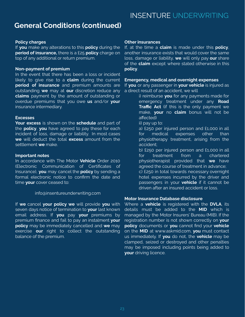# **General Conditions (continued)**

# **Policy charges**

If **you** make any alterations to this **policy** during the **period of insurance,** there is a £25 **policy** charge on top of any additional or return premium.

### **Non-payment of premium**

In the event that there has been a loss or incident likely to give rise to a **claim** during the current **period of insurance** and premium amounts are outstanding **we** may at **our** discretion reduce any **claims** payment by the amount of outstanding or overdue premiums that you owe **us** and/or **your** insurance intermediary.

### **Excesses**

**Your excess** is shown on the **schedule** and part of the **policy**, **you** have agreed to pay these for each incident of loss, damage or liability. In most cases **we** will deduct the total **excess** amount from the settlement **we** make.

### **Important notes**

In accordance with The Motor **Vehicle** Order 2010 (Electronic Communication of Certificates of Insurance), **you** may cancel the **policy** by sending a formal electronic notice to confirm the date and time **your** cover ceased to:

### info@insentureunderwriting.com

If **we** cancel **your policy we** will provide **you** with seven days notice of termination to **your** last known email address. If **you** pay **your** premiums by premium finance and fail to pay an instalment **your policy** may be immediately cancelled and **we** may exercise **our** right to collect the outstanding balance of the premium.

### **Other insurances**

If, at the time a **claim** is made under this **policy**, another insurance exists that would cover the same loss, damage or liability, **we** will only pay **our** share of the **claim** except where stated otherwise in this **policy**.

### **Emergency, medical and overnight expenses**

If **you** or any passenger in **your vehicle** is injured as a direct result of an accident, we will

> i) reimburse **you** for any payments made for emergency treatment under any **Road Traffic Act** (if this is the only payment we make, **your** no **claim** bonus will not be affected)

ii) pay up to:

- a) £250 per injured person and £1,000 in all for medical expenses other than physiotherapy treatment, arising from the accident;
- b) £250 per injured person and £1,000 in all for treatment from a chartered physiotherapist provided that **we** have agreed the course of treatment in advance;
- c) £250 in total towards necessary overnight hotel expenses incurred by the driver and passengers in your **vehicle** if it cannot be driven after an insured accident or loss.

### **Motor Insurance Database disclosure**

Where a **vehicle** is registered with the **DVLA**, its details must be added to the **MID** which is managed by the Motor Insurers' Bureau (MIB). If the registration number is not shown correctly on **your policy** documents or **you** cannot find your **vehicle** on the **MID** at www.askmid.com, **you** must contact us immediately. If **you** do not, the **vehicle** may be clamped, seized or destroyed and other penalties may be imposed including points being added to **your** driving licence.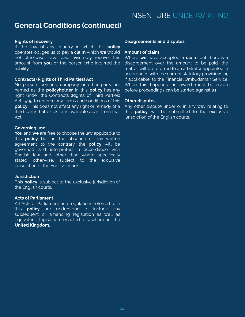# **General Conditions (continued)**

### **Rights of recovery**

If the law of any country in which this **policy** operates obliges us to pay a **claim** which **we** would not otherwise have paid, **we** may recover this amount from **you** or the person who incurred the liability.

### **Contracts (Rights of Third Parties) Act**

No person, persons, company or other party not named as the **policyholder** in this **policy** has any right under the Contracts (Rights of Third Parties) Act 1999 to enforce any terms and conditions of this **policy**. This does not affect any right or remedy of a third party that exists or is available apart from that Act.

### **Governing law**

**You** and **we** are free to choose the law applicable to this **policy** but, in the absence of any written agreement to the contrary, the **policy** will be governed and interpreted in accordance with English law and, other than where specifically stated otherwise, subject to the exclusive jurisdiction of the English courts.

# **Jurisdiction**

This **policy** is subject to the exclusive jurisdiction of the English courts.

# **Acts of Parliament**

All Acts of Parliament and regulations referred to in this **policy** are understood to include any subsequent or amending legislation as well as equivalent legislation enacted elsewhere in the **United Kingdom.**

### **Disagreements and disputes**

### **Amount of claim**

Where **we** have accepted a **claim** but there is a disagreement over the amount to be paid, the matter will be referred to an arbitrator appointed in accordance with the current statutory provisions or, if applicable, to the Financial Ombudsman Service. When this happens, an award must be made before proceedings can be started against **us**.

### **Other disputes**

Any other dispute under or in any way relating to this **policy** will be submitted to the exclusive jurisdiction of the English courts.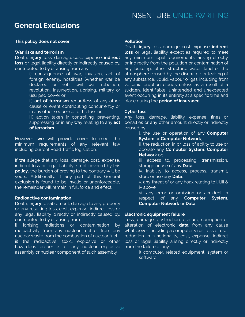# **General Exclusions**

### **This policy does not cover**

#### **War risks and terrorism**

Death, **injury**, loss, damage, cost, expense, **indirect loss** or legal liability directly or indirectly caused by, contributed to by or arising from any:

> i) consequence of war, invasion, act of foreign enemy, hostilities (whether war be declared or not), civil war, rebellion, revolution, insurrection, uprising, military or usurped power or;

> ii) **act of terrorism** regardless of any other cause or event contributing concurrently or in any other sequence to the loss or;

> iii) action taken in controlling, preventing, suppressing or in any way relating to any **act of terrorism.**

However, **we** will provide cover to meet the minimum requirements of any relevant law including current Road Traffic legislation.

If **we** allege that any loss, damage, cost, expense, indirect loss or legal liability is not covered by this **policy**, the burden of proving to the contrary will be yours. Additionally, if any part of this General exclusion is found to be invalid or unenforceable, the remainder will remain in full force and effect.

### **Radioactive contamination**

Death, **injury**, disablement, damage to any property or any resulting loss, cost, expense, indirect loss or any legal liability directly or indirectly caused by, contributed to by or arising from

i) ionising radiations or contamination by radioactivity from any nuclear fuel or from any nuclear waste from the combustion of nuclear fuel ii) the radioactive, toxic, explosive or other hazardous properties of any nuclear explosive assembly or nuclear component of such assembly.

### **Pollution**

Death, **injury**, loss, damage, cost, expense, **indirect loss** or legal liability except as required to meet any minimum legal requirements, arising directly or indirectly from the pollution or contamination of any building, other structure, water, land or the atmosphere caused by the discharge or leaking of any substance, liquid, vapour or gas including from volcanic eruption clouds unless as a result of a sudden, identifiable, unintended and unexpected event occurring in its entirety at a specific time and place during the **period of insurance.**

### **Cyber loss**

Any loss, damage, liability, expense, fines or penalties or any other amount directly or indirectly caused by:

> i. the use or operation of any **Computer System** or **Computer Network**;

> ii. the reduction in or loss of ability to use or operate any **Computer System**, **Computer Network** or;

> iii. access to, processing, transmission, storage or use of any **Data**;

> iv. inability to access, process, transmit, store or use any **Data**;

> v. any threat of or any hoax relating to i,ii,iii & iv above;

> vi. any error or omission or accident in respect of any **Computer System**, **Computer Network** or **Data**.

# **Electronic equipment failure**

Loss, damage, destruction, erasure, corruption or alteration of electronic **data** from any cause whatsoever including a computer virus, loss of use, reduction in functionality, cost, expense, indirect loss or legal liability arising directly or indirectly from the failure of any:

> i) computer, related equipment, system or software;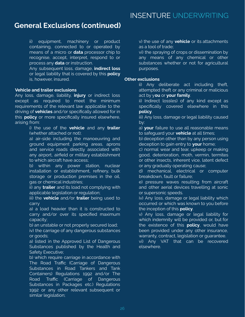# **General Exclusions (continued)**

ii) equipment, machinery or product containing, connected to or operated by means of a micro or **data** processor chip to recognise, accept, interpret, respond to or process any **data** or instruction.

Any subsequent loss, damage, **indirect loss** or legal liability that is covered by this **policy** is, however, insured.

### **Vehicle and trailer exclusions**

Any loss, damage, liability, **injury** or indirect loss except as required to meet the minimum requirements of the relevant law applicable to the driving of **vehicles** and/or specifically allowed for in this **policy** or more specifically insured elsewhere, arising from:

> i) the use of the **vehicle** and any **trailer** (whether attached or not);

> a) air-side including the manoeuvring and ground equipment parking areas, aprons and service roads directly associated with any airport, airfield or military establishment to which aircraft have access;

> b) within any power station, nuclear installation or establishment, refinery, bulk storage or production premises in the oil, gas or chemical industries;

> ii) any **trailer** and its load not complying with applicable legislation or regulation;

> iii) the **vehicle** and/or **trailer** being used to carry

> a) a load heavier than it is constructed to carry and/or over its specified maximum capacity;

b) an unstable or not properly secured load;

iv) the carriage of any dangerous substances or goods;

a) listed in the Approved List of Dangerous Substances published by the Health and Safety Executive;

b) which require carriage in accordance with The Road Traffic (Carriage of Dangerous Substances in Road Tankers and Tank Containers) Regulations 1992 and/or The Road Traffic (Carriage of Dangerous Substances in Packages etc.) Regulations 1992 or any other relevant subsequent or similar legislation;

v) the use of any **vehicle** or its attachments as a tool of trade;

vi) the spraying of crops or dissemination by any means of any chemical or other substances whether or not for agricultural purposes.

### **Other exclusions**

ii) Any deliberate act including theft, attempted theft or any criminal or malicious act by y**ou** or **your family**.

ii) Indirect loss(es) of any kind except as specifically covered elsewhere in this **policy**.

iii) Any loss, damage or legal liability caused by:

a) **your** failure to use all reasonable means to safeguard your **vehicle** at all times;

b) deception other than by any person using deception to gain entry to **your** home;

c) normal wear and tear, upkeep or making good, deterioration, moth, vermin, termites or other insects, inherent vice, latent defect or any gradually operating cause;

d) mechanical, electrical or computer breakdown, fault or failure;

e) pressure waves resulting from aircraft and other aerial devices travelling at sonic or supersonic speeds.

iv) Any loss, damage or legal liability which occurred or which was known to you before the inception of this **policy**.

v) Any loss, damage or legal liability for which indemnity will be provided or, but for the existence of this **policy**, would have been provided under any other insurance, warranty, contract, legislation or guarantee.

vi) Any VAT that can be recovered elsewhere.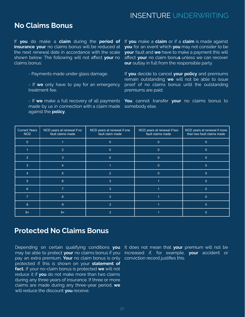# **No Claims Bonus**

If **you** do make a **claim** during the **period of insurance your** no claims bonus will be reduced at the next renewal date in accordance with the scale shown below. The following will not affect **your** no claims bonus:

- Payments made under glass damage.
- If **we** only have to pay for an emergency treatment fee.

- If **we** make a full recovery of all payments made by us in connection with a claim made against the **policy**.

If **you** make a **claim** or if a **claim** is made against **you** for an event which **you** may not consider to be **your** fault and **we** have to make a payment this will affect **your** no claim bonu**s** unless we can recover **our** outlay in full from the responsible party.

If **you** decide to cancel **your policy** and premiums remain outstanding **we** will not be able to issue proof of no claims bonus until the outstanding premiums are paid.

**You** cannot transfer **your** no claims bonus to somebody else.

| <b>Current Years</b><br><b>NCD</b> | NCD years at renewal if no<br>fault claims made | NCD years at renewal if one<br>fault claim made | NCD years at renewal if two<br>fault claims made | NCD years at renewal if more<br>than two fault claims made |
|------------------------------------|-------------------------------------------------|-------------------------------------------------|--------------------------------------------------|------------------------------------------------------------|
| $\mathbf{0}$                       |                                                 | $\mathbf{0}$                                    | $\mathbf{0}$                                     | $\mathbf 0$                                                |
|                                    | 2                                               | $\mathbf{0}$                                    | 0                                                | 0                                                          |
| $\overline{2}$                     | 3                                               | $\mathbf{0}$                                    |                                                  |                                                            |
| 3                                  |                                                 |                                                 | O                                                |                                                            |
| $\overline{4}$                     | $5\overline{)}$                                 | $\overline{2}$                                  | $\mathbf 0$                                      | $\Omega$                                                   |
| $\overline{5}$                     | $6\phantom{1}$                                  | 3                                               |                                                  | $\Omega$                                                   |
| $6^{\circ}$                        | $\overline{7}$                                  | 3                                               |                                                  | $\Omega$                                                   |
| 7                                  | 8                                               | 3                                               |                                                  | O                                                          |
| 8                                  | 9                                               | $\overline{3}$                                  |                                                  |                                                            |
| $9+$                               | $9+$                                            | 3                                               |                                                  |                                                            |

# **Protected No Claims Bonus**

Depending on certain qualifying conditions **you** may be able to protect **your** no claims bonus if you pay an extra premium. **Your** no claim bonus is only protected if this is shown on your **statement of fact.** If your no-claim bonus is protected **we** will not reduce it if **you** do not make more than two claims during any three years of insurance. If three or more claims are made during any three-year period, **we** will reduce the discount **you** receive.

It does not mean that **your** premium will not be increased if, for example, **your** accident or conviction record justifies this.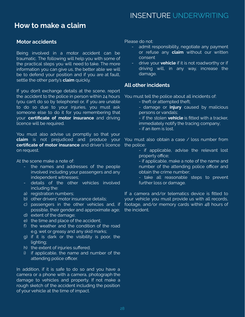# **How to make a claim**

# **Motor accidents**

Being involved in a motor accident can be traumatic. The following will help you with some of the practical steps you will need to take. The more information you can give us, the better able we will be to defend your position and if you are at fault, settle the other party's **claim** quickly.

If you don't exchange details at the scene, report the accident to the police in person within 24 hours (you can't do so by telephone) or, if you are unable to do so due to your injuries, you must ask someone else to do it for you remembering that your **certificate of motor insurance** and driving licence will be required.

You must also advise us promptly so that your **claim** is not prejudiced and produce your **certificate of motor insurance** and driver's licence on request.

At the scene make a note of:

- the names and addresses of the people involved including your passengers and any independent witnesses;
- details of the other vehicles involved including the:
- a) registration numbers;
- b) other drivers' motor insurance details;
- c) passengers in the other vehicles and, if possible, their gender and approximate age;
- d) extent of the damage;
- e) the time and place of the accident;
- f) the weather and the condition of the road e.g. wet or greasy and any skid marks;
- g) if it is dark or the visibility is poor, the lighting;
- h) the extent of injuries suffered;
- i) if applicable, the name and number of the attending police officer.

In addition, if it is safe to do so and you have a camera or a phone with a camera, photograph the damage to vehicles and property. If not make a rough sketch of the accident including the position of your vehicle at the time of impact.

Please do not:

- admit responsibility, negotiate any payment or refuse any **claim** without our written consent
- drive your **vehicle** if it is not roadworthy or if driving will, in any way, increase the damage.

# **All other incidents**

You must tell the police about all incidents of:

- theft or attempted theft;
- damage or **injury** caused by malicious persons or vandals;
- if the stolen **vehicle** is fitted with a tracker, immediately notify the tracing company;
- if an item is lost.

You must also obtain a case / loss number from the police:

> - if applicable, advise the relevant lost property office;

> - if applicable, make a note of the name and number of the attending police officer and obtain the crime number;

> - take all reasonable steps to prevent further loss or damage.

If a camera and/or telematics device is fitted to your vehicle you must provide us with all records, footage, and/or memory cards within 48 hours of the incident.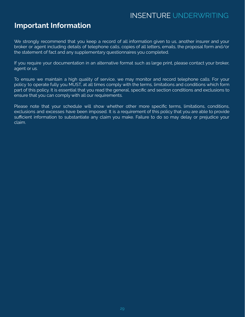# **Important Information**

We strongly recommend that you keep a record of all information given to us, another insurer and your broker or agent including details of telephone calls, copies of all letters, emails, the proposal form and/or the statement of fact and any supplementary questionnaires you completed.

If you require your documentation in an alternative format such as large print, please contact your broker, agent or us.

To ensure we maintain a high quality of service, we may monitor and record telephone calls. For your policy to operate fully you MUST, at all times comply with the terms, limitations and conditions which form part of this policy. It is essential that you read the general, specific and section conditions and exclusions to ensure that you can comply with all our requirements.

Please note that your schedule will show whether other more specific terms, limitations, conditions, exclusions and excesses have been imposed. It is a requirement of this policy that you are able to provide sufficient information to substantiate any claim you make. Failure to do so may delay or prejudice your claim.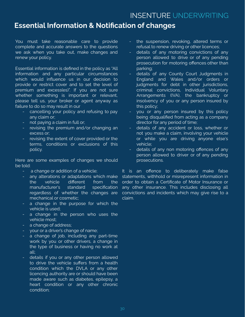# **Essential Information & Notification of changes**

You must take reasonable care to provide complete and accurate answers to the questions we ask when you take out, make changes and renew your policy.

Essential information is defined in the policy as "All information and any particular circumstances which would influence us in our decision to provide or restrict cover and to set the level of premium and excess(es)". If you are not sure whether something is important or relevant, please tell us, your broker or agent anyway as failure to do so may result in our

- cancelling your policy and refusing to pay any claim or;
- not paying a claim in full or;
- revising the premium and/or changing an excess or;
- revising the extent of cover provided or the terms, conditions or exclusions of this policy.

Here are some examples of changes we should be told:

- a change or addition of a vehicle;
- any alterations or adaptations which make the vehicle different from the manufacturer's standard specification regardless of whether the changes are mechanical or cosmetic;
- a change in the purpose for which the vehicle is used;
- a change in the person who uses the vehicle most;
- a change of address;
- your or a driver's change of name;
- a change of job, including any part-time work by you or other drivers, a change in the type of business or having no work at all;
- details if you or any other person allowed to drive the vehicle suffers from a health condition which the DVLA or any other licencing authority are or should have been made aware such as diabetes, epilepsy, a heart condition or any other chronic condition;
- the suspension, revoking, altered terms or refusal to renew driving or other licences;
- details of any motoring convictions of any person allowed to drive or of any pending prosecution for motoring offences other than parking;
- details of any County Court Judgments in England and Wales and/or orders or judgments for debt in other jurisdictions, criminal convictions, Individual Voluntary Arrangements (IVA), the bankruptcy or insolvency of you or any person insured by this policy;
- you or any person insured by this policy being disqualified from acting as a company director for any period of time;
- details of any accident or loss, whether or not you make a claim, involving your vehicle or while you are driving anyone else's vehicle;
- details of any non motoring offences of any person allowed to driver or of any pending prosecutions.

It is an offence to deliberately make false statements, withhold or misrepresent information in order to obtain a Certificate of Motor Insurance or any other insurance. This includes disclosing all convictions and incidents which may give rise to a claim.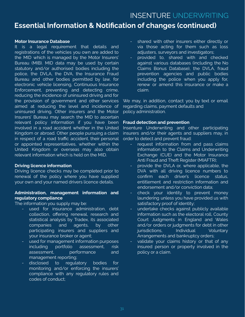# **Essential Information & Notification of changes (continued)**

### **Motor Insurance Database**

It is a legal requirement that details and registrations of the vehicles you own are added to the MID which is managed by the Motor Insurers' Bureau (MIB). MID data may be used by certain statutory and/or authorised bodies including the police, the DVLA, the DVA, the Insurance Fraud Bureau and other bodies permitted by law, for electronic vehicle licensing, Continuous Insurance Enforcement, preventing and detecting crime, reducing the incidence of uninsured driving and for the provision of government and other services aimed at reducing the level and incidence of uninsured driving. Other insurers and the Motor Insurers' Bureau may search the MID to ascertain relevant policy information if you have been involved in a road accident whether in the United Kingdom or abroad. Other people pursuing a claim in respect of a road traffic accident, their personal or appointed representatives, whether within the United Kingdom or overseas may also obtain relevant information which is held on the MID.

### **Driving licence information**

Driving licence checks may be completed prior to renewal of the policy where you have supplied your own and your named drivers licence details.

# **Administration, management information and regulatory compliance**

The information you supply may be:

- used for insurance administration, debt collection, offering renewal, research and statistical analysis by Tradex, its associated companies and agents, by other participating insurers and suppliers and your insurance broker or agent;
- used for management information purposes including portfolio assessment, risk assessment, performance and management reporting;
- disclosed to regulatory bodies for monitoring and/or enforcing the insurers' compliance with any regulatory rules and codes of conduct;
- shared with other insurers either directly or via those acting for them such as loss adjusters, surveyors and investigators;
- provided to, shared with and checked against various databases (including the No Claims Bonus Database), the DVLA, fraud prevention agencies and public bodies including the police when you apply for, renew or amend this insurance or make a claim.

We may, in addition, contact you by text or email regarding claims, payment defaults and policy administration.

### **Fraud detection and prevention**

Insenture Underwriting and other participating insurers and/or their agents and suppliers may, in order to detect and prevent fraud:

- request information from and pass claims information to the Claims and Underwriting Exchange (CUE) and the Motor Insurance Anti Fraud and Theft Register (MIAFTR);
- provide the DVLA or, where applicable, the DVA with all driving licence numbers to confirm each driver's licence status, entitlement and restriction information and endorsement and/or conviction data;
- check your identity to prevent money laundering unless you have provided us with satisfactory proof of identity;
- undertake checks against publicly available information such as the electoral roll, County Court Judgments in England and Wales and/or orders or judgments for debt in other iurisdictions, Individual Voluntary Arrangements and bankruptcy orders;
- validate your claims history or that of any insured person or property involved in the policy or a claim.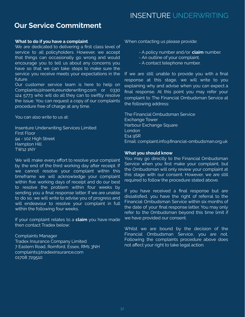# **Our Service Commitment**

### **What to do if you have a complaint**

We are dedicated to delivering a first class level of service to all policyholders. However, we accept that things can occasionally go wrong and would encourage you to tell us about any concerns you have so that we can take steps to make sure the service you receive meets your expectations in the future.

Our customer service team is here to help on Complaints@Insentureunderwriting.com or 0330 124 5773 who will do all they can to swiftly resolve the issue. You can request a copy of our complaints procedure free of charge at any time.

You can also write to us at:

Insenture Underwriting Services Limited First Floor 94 - 102 High Street Hampton Hill TW12 1NY

We will make every effort to resolve your complaint by the end of the third working day after receipt. If we cannot resolve your complaint within this timeframe we will acknowledge your complaint within five working days of receipt and do our best to resolve the problem within four weeks by sending you a final response letter. If we are unable to do so, we will write to advise you of progress and will endeavour to resolve your complaint in full within the following four weeks.

If your complaint relates to a **claim** you have made then contact Tradex below:

Complaints Manager Tradex Insurance Company Limited 7 Eastern Road, Romford, Essex, RM1 3NH complaints@tradexinsurance.com 01708 729510

When contacting us please provide:

- A policy number and/or **claim** number.
- An outline of your complaint.
- A contact telephone number.

If we are still unable to provide you with a final response at this stage, we will write to you explaining why and advise when you can expect a final response. At this point you may refer your complaint to The Financial Ombudsman Service at the following address:

The Financial Ombudsman Service Exchange Tower Harbour Exchange Square London E14 9SR Email: complaint.info@financial-ombudsman.org.uk

### **What you should know**

You may go directly to the Financial Ombudsman Service when you first make your complaint, but the Ombudsman will only review your complaint at this stage with our consent. However, we are still required to follow the procedure stated above.

If you have received a final response but are dissatisfied, you have the right of referral to the Financial Ombudsman Service within six months of the date of your final response letter. You may only refer to the Ombudsman beyond this time limit if we have provided our consent.

Whilst we are bound by the decision of the Financial Ombudsman Service, you are not. Following the complaints procedure above does not affect your right to take legal action.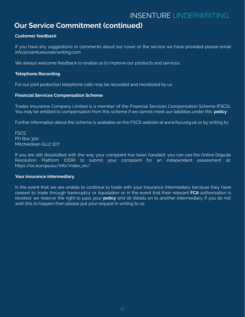# **Our Service Commitment (continued)**

# **Customer feedback**

If you have any suggestions or comments about our cover or the service we have provided please email info@insentureunderwriting.com

We always welcome feedback to enable us to improve our products and services.

# **Telephone Recording**

For our joint protection telephone calls may be recorded and monitored by us.

### **Financial Services Compensation Scheme**

Tradex Insurance Company Limited is a member of the Financial Services Compensation Scheme (FSCS). You may be entitled to compensation from this scheme if we cannot meet our liabilities under this **policy**.

Further information about the scheme is available on the FSCS website at www.fscs.org.uk or by writing to:

**FSCS** PO Box 300 Mitcheldean GL17 1DY

If you are still dissatisfied with the way your complaint has been handled, you can use the Online Dispute Resolution Platform (ODR) to submit your complaint for an independent assessment at: https://ec.europa.eu/info/index\_en/

# **Your insurance intermediary**

In the event that we are unable to continue to trade with your insurance intermediary because they have ceased to trade through bankruptcy or liquidation or in the event that their relevant **FCA** authorisation is revoked we reserve the right to pass your **policy** and all details on to another intermediary. If you do not wish this to happen then please put your request in writing to us.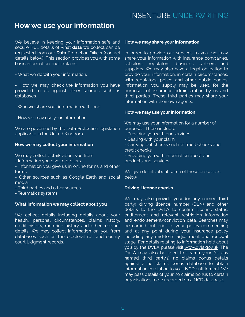# **How we use your information**

We believe in keeping your information safe and secure. Full details of what **data** we collect can be requested from our **Data** Protection Officer (contact details below). This section provides you with some basic information and explains:

- What we do with your information.

- How we may check the information you have provided to us against other sources such as databases.

- Who we share your information with, and

- How we may use your information.

We are governed by the Data Protection legislation applicable in the United Kingdom.

#### **How we may collect your information**

We may collect details about you from:

- Information you give to brokers.
- Information you give us in online forms and other forms.

- Other sources such as Google Earth and social media.

- Third parties and other sources.

- Telematics systems.

#### **What information we may collect about you**

We collect details including details about your health, personal circumstances, claims history, credit history, motoring history and other relevant details. We may collect information on you from databases such as the electoral roll and county court judgment records.

#### **How we may share your information**

In order to provide our services to you, we may share your information with insurance companies, solicitors, regulators, business partners and suppliers. We may also have a legal obligation to provide your information, in certain circumstances, with regulators, police and other public bodies. Information you supply may be used for the purposes of insurance administration by us and third parties. These third parties may share your information with their own agents.

### **How we may use your information**

We may use your information for a number of purposes. These include:

- Providing you with our services
- Dealing with your claim
- Carrying out checks such as fraud checks and credit checks

- Providing you with information about our products and services.

We give details about some of these processes below.

#### **Driving Licence checks**

We may also provide your (or any named third party) driving licence number (DLN) and other details to the DVLA to confirm licence status, entitlement and relevant restriction information and endorsement/conviction data. Searches may be carried out prior to your policy commencing and at any point during your insurance policy including any mid-term adjustment and renewal stage. For details relating to information held about you by the DVLA please visit [www.dvla.gov.uk.](http://www.dvla.gov.uk) The DVLA may also be used to search your (or any named third party's) no claims bonus details against a no claims bonus database to obtain information in relation to your NCD entitlement. We may pass details of your no claims bonus to certain organisations to be recorded on a NCD database.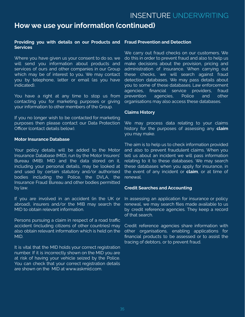# **How we use your information (continued)**

### **Providing you with details on our Products and Services**

Where you have given us your consent to do so, we will send you information about products and services of ours and other companies in our Group which may be of interest to you. We may contact you by telephone, letter or email (as you have indicated).

You have a right at any time to stop us from contacting you for marketing purposes or giving your information to other members of the Group.

If you no longer wish to be contacted for marketing purposes then please contact our Data Protection Officer (contact details below).

### **Motor Insurance Database**

Your policy details will be added to the Motor Insurance Database (MID), run by the Motor Insurers' Bureau (MIB). MID and the data stored on it, including your personal details, may be looked at and used by certain statutory and/or authorised bodies including the Police, the DVLA, the Insurance Fraud Bureau and other bodies permitted by law.

If you are involved in an accident (in the UK or abroad), insurers and/or the MIB may search the MID to obtain relevant information.

Persons pursuing a claim in respect of a road traffic accident (including citizens of other countries) may also obtain relevant information which is held on the MID.

It is vital that the MID holds your correct registration number. If it is incorrectly shown on the MID you are at risk of having your vehicle seized by the Police. You can check that your correct registration details are shown on the MID at www.askmid.com.

#### **Fraud Prevention and Detection**

We carry out fraud checks on our customers. We do this in order to prevent fraud and also to help us make decisions about the provision, pricing and administration of insurance. When carrying out these checks, we will search against fraud detection databases. We may pass details about you to some of these databases. Law enforcement agencies, financial service providers, fraud prevention agencies, Police and other organisations may also access these databases.

### **Claims History**

We may process data relating to your claims history for the purposes of assessing any **claim** you may make.

The aim is to help us to check information provided and also to prevent fraudulent claims. When you tell us about an incident we will pass information relating to it to these databases. We may search these databases when you apply for insurance, in the event of any incident or **claim**, or at time of renewal.

### **Credit Searches and Accounting**

In assessing an application for insurance or policy renewal, we may search files made available to us by credit reference agencies. They keep a record of that search.

Credit reference agencies share information with other organisations, enabling applications for financial products to be assessed or to assist the tracing of debtors, or to prevent fraud.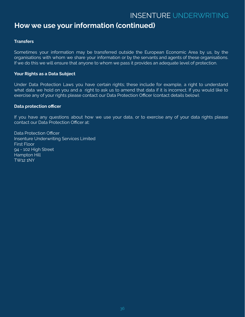# **How we use your information (continued)**

# **Transfers**

Sometimes your information may be transferred outside the European Economic Area by us, by the organisations with whom we share your information or by the servants and agents of these organisations. If we do this we will ensure that anyone to whom we pass it provides an adequate level of protection.

# **Your Rights as a Data Subject**

Under Data Protection Laws you have certain rights; these include for example, a right to understand what data we hold on you and a right to ask us to amend that data if it is incorrect. If you would like to exercise any of your rights please contact our Data Protection Officer (contact details below).

# **Data protection officer**

If you have any questions about how we use your data, or to exercise any of your data rights please contact our Data Protection Officer at:

Data Protection Officer Insenture Underwriting Services Limited First Floor 94 - 102 High Street Hampton Hill TW12 1NY